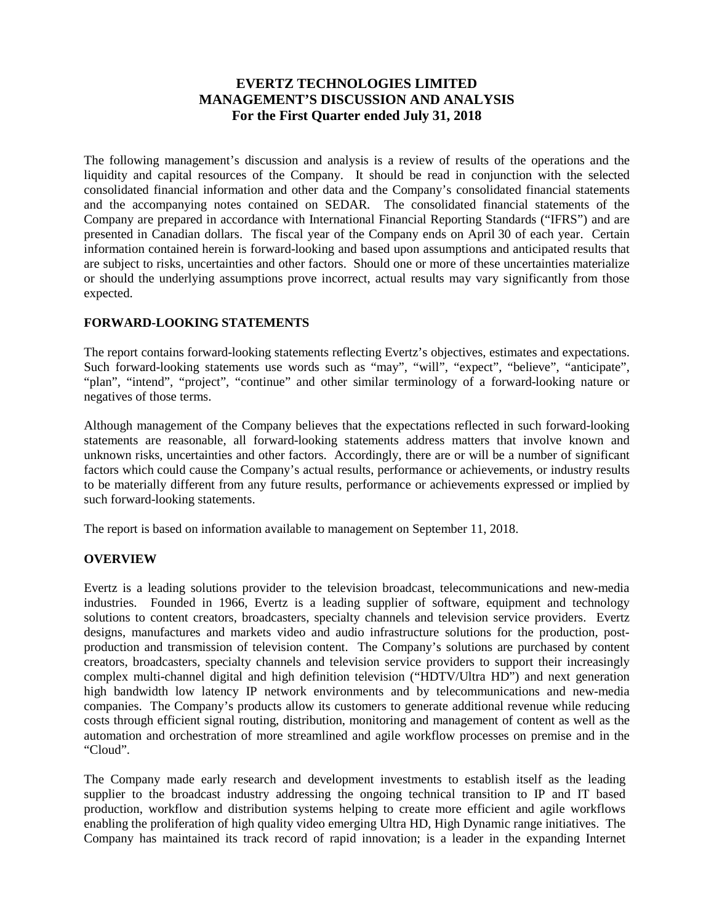# **EVERTZ TECHNOLOGIES LIMITED MANAGEMENT'S DISCUSSION AND ANALYSIS For the First Quarter ended July 31, 2018**

The following management's discussion and analysis is a review of results of the operations and the liquidity and capital resources of the Company. It should be read in conjunction with the selected consolidated financial information and other data and the Company's consolidated financial statements and the accompanying notes contained on SEDAR. The consolidated financial statements of the Company are prepared in accordance with International Financial Reporting Standards ("IFRS") and are presented in Canadian dollars. The fiscal year of the Company ends on April 30 of each year. Certain information contained herein is forward-looking and based upon assumptions and anticipated results that are subject to risks, uncertainties and other factors. Should one or more of these uncertainties materialize or should the underlying assumptions prove incorrect, actual results may vary significantly from those expected.

# **FORWARD-LOOKING STATEMENTS**

The report contains forward-looking statements reflecting Evertz's objectives, estimates and expectations. Such forward-looking statements use words such as "may", "will", "expect", "believe", "anticipate", "plan", "intend", "project", "continue" and other similar terminology of a forward-looking nature or negatives of those terms.

Although management of the Company believes that the expectations reflected in such forward-looking statements are reasonable, all forward-looking statements address matters that involve known and unknown risks, uncertainties and other factors. Accordingly, there are or will be a number of significant factors which could cause the Company's actual results, performance or achievements, or industry results to be materially different from any future results, performance or achievements expressed or implied by such forward-looking statements.

The report is based on information available to management on September 11, 2018.

# **OVERVIEW**

Evertz is a leading solutions provider to the television broadcast, telecommunications and new-media industries. Founded in 1966, Evertz is a leading supplier of software, equipment and technology solutions to content creators, broadcasters, specialty channels and television service providers. Evertz designs, manufactures and markets video and audio infrastructure solutions for the production, postproduction and transmission of television content. The Company's solutions are purchased by content creators, broadcasters, specialty channels and television service providers to support their increasingly complex multi-channel digital and high definition television ("HDTV/Ultra HD") and next generation high bandwidth low latency IP network environments and by telecommunications and new-media companies. The Company's products allow its customers to generate additional revenue while reducing costs through efficient signal routing, distribution, monitoring and management of content as well as the automation and orchestration of more streamlined and agile workflow processes on premise and in the "Cloud".

The Company made early research and development investments to establish itself as the leading supplier to the broadcast industry addressing the ongoing technical transition to IP and IT based production, workflow and distribution systems helping to create more efficient and agile workflows enabling the proliferation of high quality video emerging Ultra HD, High Dynamic range initiatives. The Company has maintained its track record of rapid innovation; is a leader in the expanding Internet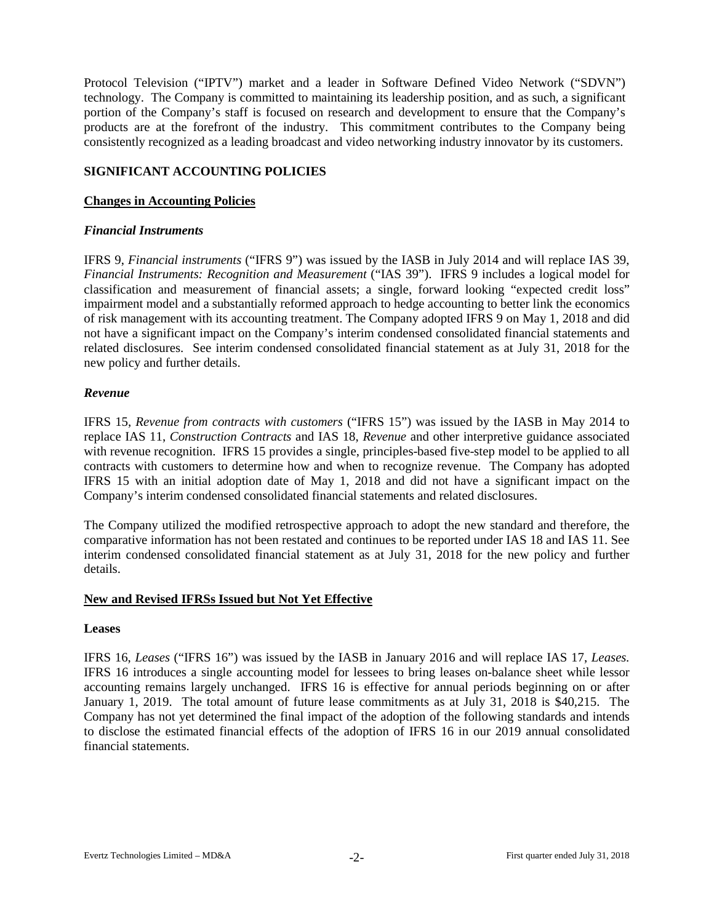Protocol Television ("IPTV") market and a leader in Software Defined Video Network ("SDVN") technology. The Company is committed to maintaining its leadership position, and as such, a significant portion of the Company's staff is focused on research and development to ensure that the Company's products are at the forefront of the industry. This commitment contributes to the Company being consistently recognized as a leading broadcast and video networking industry innovator by its customers.

# **SIGNIFICANT ACCOUNTING POLICIES**

# **Changes in Accounting Policies**

# *Financial Instruments*

IFRS 9, *Financial instruments* ("IFRS 9") was issued by the IASB in July 2014 and will replace IAS 39, *Financial Instruments: Recognition and Measurement* ("IAS 39"). IFRS 9 includes a logical model for classification and measurement of financial assets; a single, forward looking "expected credit loss" impairment model and a substantially reformed approach to hedge accounting to better link the economics of risk management with its accounting treatment. The Company adopted IFRS 9 on May 1, 2018 and did not have a significant impact on the Company's interim condensed consolidated financial statements and related disclosures. See interim condensed consolidated financial statement as at July 31, 2018 for the new policy and further details.

# *Revenue*

IFRS 15, *Revenue from contracts with customers* ("IFRS 15") was issued by the IASB in May 2014 to replace IAS 11, *Construction Contracts* and IAS 18, *Revenue* and other interpretive guidance associated with revenue recognition. IFRS 15 provides a single, principles-based five-step model to be applied to all contracts with customers to determine how and when to recognize revenue. The Company has adopted IFRS 15 with an initial adoption date of May 1, 2018 and did not have a significant impact on the Company's interim condensed consolidated financial statements and related disclosures.

The Company utilized the modified retrospective approach to adopt the new standard and therefore, the comparative information has not been restated and continues to be reported under IAS 18 and IAS 11. See interim condensed consolidated financial statement as at July 31, 2018 for the new policy and further details.

# **New and Revised IFRSs Issued but Not Yet Effective**

#### **Leases**

IFRS 16, *Leases* ("IFRS 16") was issued by the IASB in January 2016 and will replace IAS 17, *Leases.* IFRS 16 introduces a single accounting model for lessees to bring leases on-balance sheet while lessor accounting remains largely unchanged. IFRS 16 is effective for annual periods beginning on or after January 1, 2019. The total amount of future lease commitments as at July 31, 2018 is \$40,215. The Company has not yet determined the final impact of the adoption of the following standards and intends to disclose the estimated financial effects of the adoption of IFRS 16 in our 2019 annual consolidated financial statements.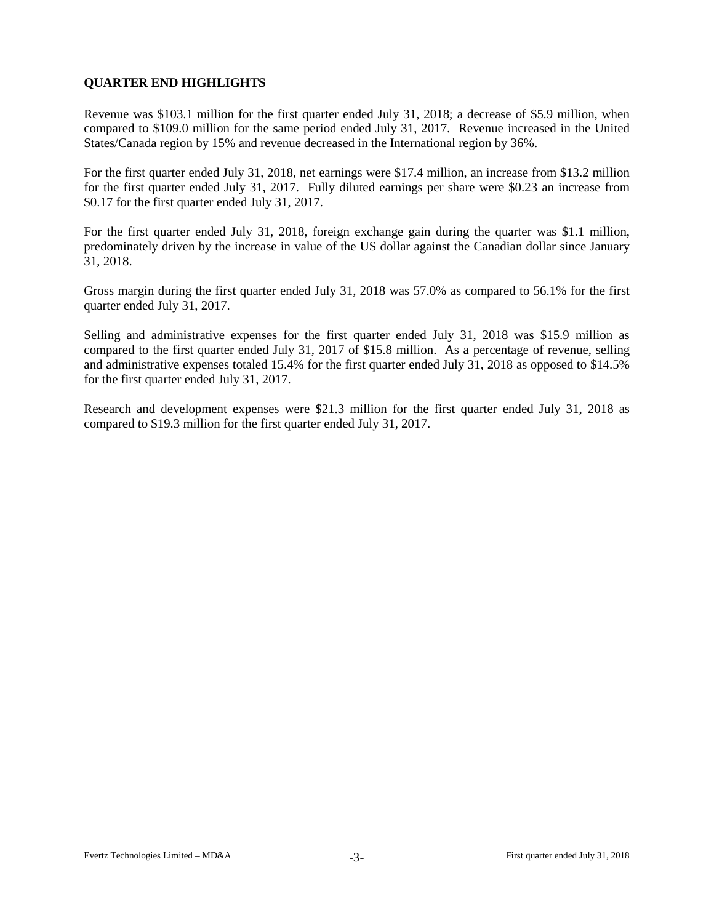# **QUARTER END HIGHLIGHTS**

Revenue was \$103.1 million for the first quarter ended July 31, 2018; a decrease of \$5.9 million, when compared to \$109.0 million for the same period ended July 31, 2017. Revenue increased in the United States/Canada region by 15% and revenue decreased in the International region by 36%.

For the first quarter ended July 31, 2018, net earnings were \$17.4 million, an increase from \$13.2 million for the first quarter ended July 31, 2017. Fully diluted earnings per share were \$0.23 an increase from \$0.17 for the first quarter ended July 31, 2017.

For the first quarter ended July 31, 2018, foreign exchange gain during the quarter was \$1.1 million, predominately driven by the increase in value of the US dollar against the Canadian dollar since January 31, 2018.

Gross margin during the first quarter ended July 31, 2018 was 57.0% as compared to 56.1% for the first quarter ended July 31, 2017.

Selling and administrative expenses for the first quarter ended July 31, 2018 was \$15.9 million as compared to the first quarter ended July 31, 2017 of \$15.8 million. As a percentage of revenue, selling and administrative expenses totaled 15.4% for the first quarter ended July 31, 2018 as opposed to \$14.5% for the first quarter ended July 31, 2017.

Research and development expenses were \$21.3 million for the first quarter ended July 31, 2018 as compared to \$19.3 million for the first quarter ended July 31, 2017.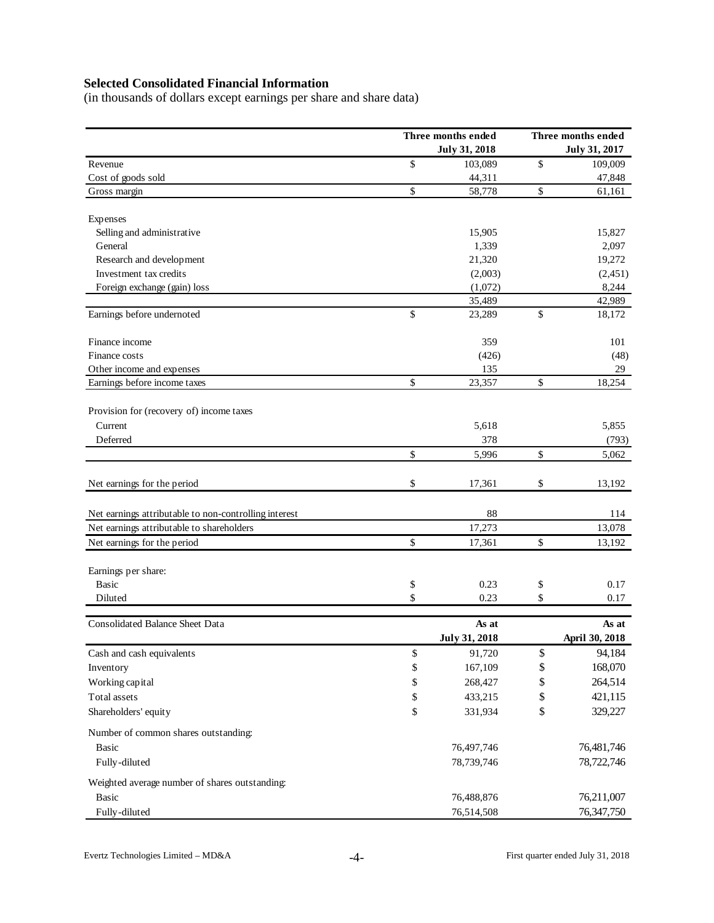# **Selected Consolidated Financial Information**

(in thousands of dollars except earnings per share and share data)

|                                                       |              | Three months ended   | Three months ended |                |  |  |  |
|-------------------------------------------------------|--------------|----------------------|--------------------|----------------|--|--|--|
|                                                       |              | <b>July 31, 2018</b> |                    | July 31, 2017  |  |  |  |
| Revenue                                               | \$           | 103,089              | \$                 | 109,009        |  |  |  |
| Cost of goods sold                                    |              | 44,311               |                    | 47,848         |  |  |  |
| Gross margin                                          | \$           | 58,778               | \$                 | 61,161         |  |  |  |
| Expenses                                              |              |                      |                    |                |  |  |  |
| Selling and administrative                            |              | 15,905               |                    | 15,827         |  |  |  |
| General                                               |              | 1,339                |                    | 2,097          |  |  |  |
| Research and development                              |              | 21,320               |                    | 19,272         |  |  |  |
| Investment tax credits                                |              | (2,003)              |                    | (2, 451)       |  |  |  |
| Foreign exchange (gain) loss                          |              | (1,072)              |                    | 8,244          |  |  |  |
|                                                       |              | 35,489               |                    | 42,989         |  |  |  |
| Earnings before undernoted                            | \$           | 23,289               | \$                 | 18,172         |  |  |  |
| Finance income                                        |              | 359                  |                    | 101            |  |  |  |
| Finance costs                                         |              | (426)                |                    | (48)           |  |  |  |
| Other income and expenses                             |              | 135                  |                    | 29             |  |  |  |
| Earnings before income taxes                          | $\mathbb{S}$ | 23,357               | \$                 | 18,254         |  |  |  |
| Provision for (recovery of) income taxes              |              |                      |                    |                |  |  |  |
| Current                                               |              | 5,618                |                    | 5,855          |  |  |  |
| Deferred                                              |              | 378                  |                    | (793)          |  |  |  |
|                                                       | \$           | 5,996                | \$                 | 5,062          |  |  |  |
|                                                       |              |                      |                    |                |  |  |  |
| Net earnings for the period                           | \$           | 17,361               | \$                 | 13,192         |  |  |  |
| Net earnings attributable to non-controlling interest |              | 88                   |                    | 114            |  |  |  |
| Net earnings attributable to shareholders             |              | 17,273               |                    | 13,078         |  |  |  |
| Net earnings for the period                           | \$           | 17,361               | \$                 | 13,192         |  |  |  |
|                                                       |              |                      |                    |                |  |  |  |
| Earnings per share:                                   |              |                      |                    |                |  |  |  |
| Basic                                                 | \$           | 0.23                 | \$                 | 0.17           |  |  |  |
| Diluted                                               | \$           | 0.23                 | \$                 | 0.17           |  |  |  |
| <b>Consolidated Balance Sheet Data</b>                |              | As at                |                    | As at          |  |  |  |
|                                                       |              | <b>July 31, 2018</b> |                    | April 30, 2018 |  |  |  |
| Cash and cash equivalents                             | \$           | 91,720               | \$                 | 94,184         |  |  |  |
| Inventory                                             | \$           | 167,109              | \$                 | 168,070        |  |  |  |
| Working capital                                       | \$           | 268,427              | \$                 | 264,514        |  |  |  |
| Total assets                                          | $\mathbb{S}$ | 433,215              | \$                 | 421,115        |  |  |  |
| Shareholders' equity                                  | \$           | 331,934              | \$                 | 329,227        |  |  |  |
| Number of common shares outstanding:                  |              |                      |                    |                |  |  |  |
| Basic                                                 |              | 76,497,746           |                    | 76,481,746     |  |  |  |
| Fully-diluted                                         |              | 78,739,746           |                    | 78,722,746     |  |  |  |
| Weighted average number of shares outstanding:        |              |                      |                    |                |  |  |  |
| <b>Basic</b>                                          |              | 76,488,876           |                    | 76,211,007     |  |  |  |
| Fully-diluted                                         |              | 76,514,508           |                    | 76,347,750     |  |  |  |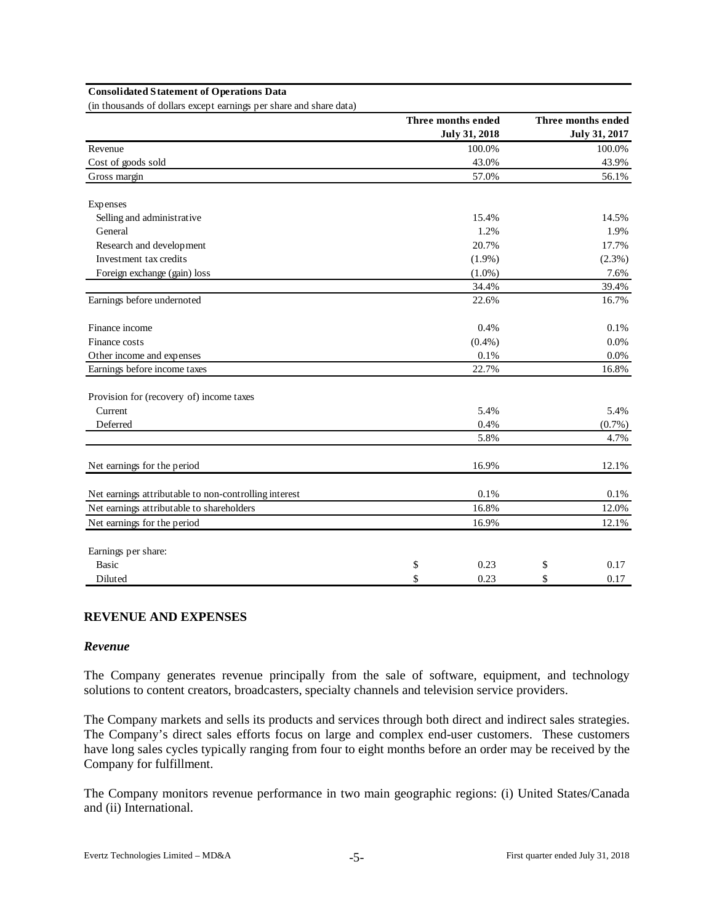#### **Consolidated Statement of Operations Data**

(in thousands of dollars except earnings per share and share data)

|                                                       | Three months ended   | Three months ended |
|-------------------------------------------------------|----------------------|--------------------|
|                                                       | <b>July 31, 2018</b> | July 31, 2017      |
| Revenue                                               | 100.0%               | 100.0%             |
| Cost of goods sold                                    | 43.0%                | 43.9%              |
| Gross margin                                          | 57.0%                | 56.1%              |
| Expenses                                              |                      |                    |
| Selling and administrative                            | 15.4%                | 14.5%              |
| General                                               | 1.2%                 | 1.9%               |
| Research and development                              | 20.7%                | 17.7%              |
| Investment tax credits                                | $(1.9\%)$            | (2.3%)             |
| Foreign exchange (gain) loss                          | $(1.0\%)$            | 7.6%               |
|                                                       | 34.4%                | 39.4%              |
| Earnings before undernoted                            | 22.6%                | 16.7%              |
| Finance income                                        | 0.4%                 | 0.1%               |
| Finance costs                                         | $(0.4\%)$            | 0.0%               |
| Other income and expenses                             | 0.1%                 | 0.0%               |
| Earnings before income taxes                          | 22.7%                | 16.8%              |
| Provision for (recovery of) income taxes              |                      |                    |
| Current                                               | 5.4%                 | 5.4%               |
| Deferred                                              | 0.4%                 | (0.7%)             |
|                                                       | 5.8%                 | 4.7%               |
| Net earnings for the period                           | 16.9%                | 12.1%              |
| Net earnings attributable to non-controlling interest | 0.1%                 | 0.1%               |
| Net earnings attributable to shareholders             | 16.8%                | 12.0%              |
| Net earnings for the period                           | 16.9%                | 12.1%              |
| Earnings per share:                                   |                      |                    |
| <b>Basic</b>                                          | \$<br>0.23           | \$<br>0.17         |
| Diluted                                               | \$<br>0.23           | \$<br>0.17         |

#### **REVENUE AND EXPENSES**

#### *Revenue*

The Company generates revenue principally from the sale of software, equipment, and technology solutions to content creators, broadcasters, specialty channels and television service providers.

The Company markets and sells its products and services through both direct and indirect sales strategies. The Company's direct sales efforts focus on large and complex end-user customers. These customers have long sales cycles typically ranging from four to eight months before an order may be received by the Company for fulfillment.

The Company monitors revenue performance in two main geographic regions: (i) United States/Canada and (ii) International.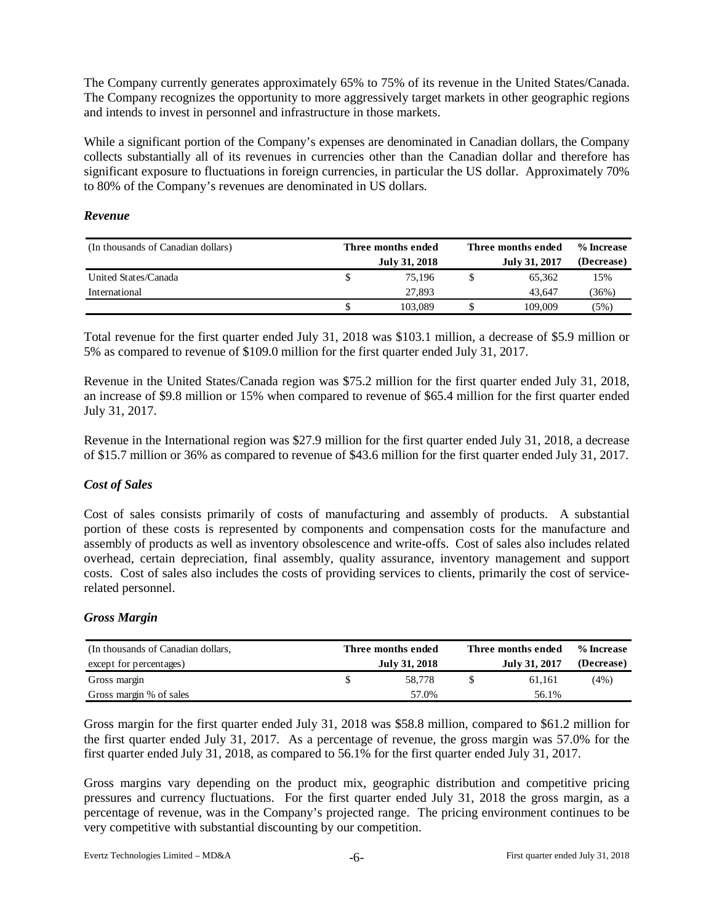The Company currently generates approximately 65% to 75% of its revenue in the United States/Canada. The Company recognizes the opportunity to more aggressively target markets in other geographic regions and intends to invest in personnel and infrastructure in those markets.

While a significant portion of the Company's expenses are denominated in Canadian dollars, the Company collects substantially all of its revenues in currencies other than the Canadian dollar and therefore has significant exposure to fluctuations in foreign currencies, in particular the US dollar. Approximately 70% to 80% of the Company's revenues are denominated in US dollars.

# *Revenue*

| (In thousands of Canadian dollars) | Three months ended | Three months ended | % Increase |  |  |
|------------------------------------|--------------------|--------------------|------------|--|--|
|                                    | July 31, 2018      | July 31, 2017      | (Decrease) |  |  |
| United States/Canada               | 75.196             | 65.362             | 15%        |  |  |
| International                      | 27,893             | 43.647             | (36%)      |  |  |
|                                    | 103,089            | 109.009            | (5%)       |  |  |

Total revenue for the first quarter ended July 31, 2018 was \$103.1 million, a decrease of \$5.9 million or 5% as compared to revenue of \$109.0 million for the first quarter ended July 31, 2017.

Revenue in the United States/Canada region was \$75.2 million for the first quarter ended July 31, 2018, an increase of \$9.8 million or 15% when compared to revenue of \$65.4 million for the first quarter ended July 31, 2017.

Revenue in the International region was \$27.9 million for the first quarter ended July 31, 2018, a decrease of \$15.7 million or 36% as compared to revenue of \$43.6 million for the first quarter ended July 31, 2017.

# *Cost of Sales*

Cost of sales consists primarily of costs of manufacturing and assembly of products. A substantial portion of these costs is represented by components and compensation costs for the manufacture and assembly of products as well as inventory obsolescence and write-offs. Cost of sales also includes related overhead, certain depreciation, final assembly, quality assurance, inventory management and support costs. Cost of sales also includes the costs of providing services to clients, primarily the cost of servicerelated personnel.

#### *Gross Margin*

| (In thousands of Canadian dollars, | Three months ended | Three months ended | % Increase |
|------------------------------------|--------------------|--------------------|------------|
| except for percentages)            | July 31, 2018      | July 31, 2017      | (Decrease) |
| Gross margin                       | 58.778             | 61.161             | (4%)       |
| Gross margin % of sales            | 57.0%              | 56.1%              |            |

Gross margin for the first quarter ended July 31, 2018 was \$58.8 million, compared to \$61.2 million for the first quarter ended July 31, 2017. As a percentage of revenue, the gross margin was 57.0% for the first quarter ended July 31, 2018, as compared to 56.1% for the first quarter ended July 31, 2017.

Gross margins vary depending on the product mix, geographic distribution and competitive pricing pressures and currency fluctuations. For the first quarter ended July 31, 2018 the gross margin, as a percentage of revenue, was in the Company's projected range. The pricing environment continues to be very competitive with substantial discounting by our competition.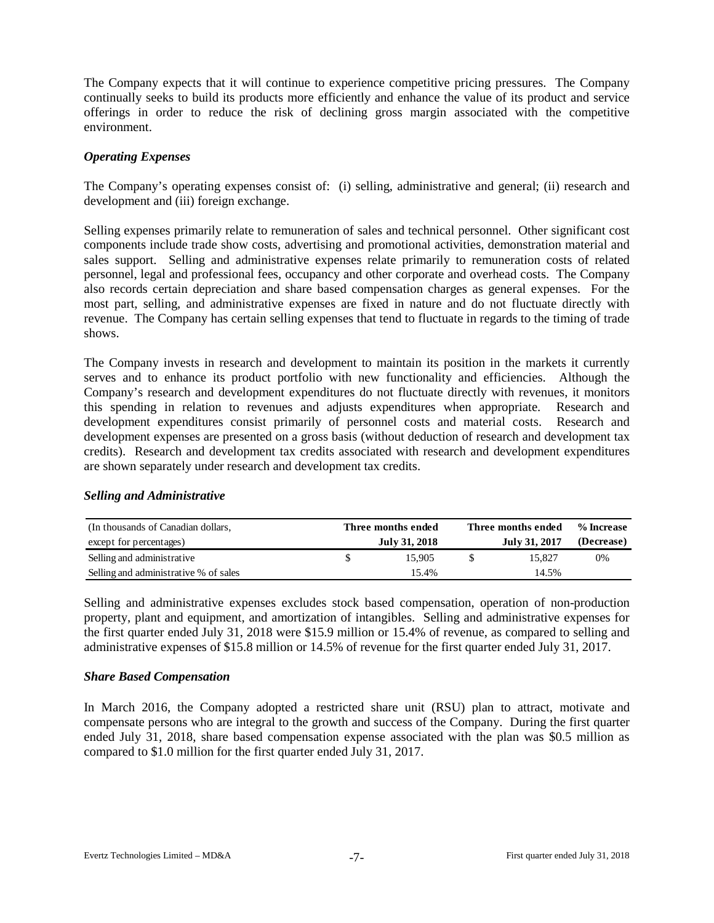The Company expects that it will continue to experience competitive pricing pressures. The Company continually seeks to build its products more efficiently and enhance the value of its product and service offerings in order to reduce the risk of declining gross margin associated with the competitive environment.

# *Operating Expenses*

The Company's operating expenses consist of: (i) selling, administrative and general; (ii) research and development and (iii) foreign exchange.

Selling expenses primarily relate to remuneration of sales and technical personnel. Other significant cost components include trade show costs, advertising and promotional activities, demonstration material and sales support. Selling and administrative expenses relate primarily to remuneration costs of related personnel, legal and professional fees, occupancy and other corporate and overhead costs. The Company also records certain depreciation and share based compensation charges as general expenses. For the most part, selling, and administrative expenses are fixed in nature and do not fluctuate directly with revenue. The Company has certain selling expenses that tend to fluctuate in regards to the timing of trade shows.

The Company invests in research and development to maintain its position in the markets it currently serves and to enhance its product portfolio with new functionality and efficiencies. Although the Company's research and development expenditures do not fluctuate directly with revenues, it monitors this spending in relation to revenues and adjusts expenditures when appropriate. Research and development expenditures consist primarily of personnel costs and material costs. Research and development expenses are presented on a gross basis (without deduction of research and development tax credits). Research and development tax credits associated with research and development expenditures are shown separately under research and development tax credits.

#### *Selling and Administrative*

| (In thousands of Canadian dollars,    | Three months ended | Three months ended | % Increase |
|---------------------------------------|--------------------|--------------------|------------|
| except for percentages)               | July 31, 2018      | July 31, 2017      | (Decrease) |
| Selling and administrative            | 15.905             | 15.827             | 0%         |
| Selling and administrative % of sales | 15.4%              | 14.5%              |            |

Selling and administrative expenses excludes stock based compensation, operation of non-production property, plant and equipment, and amortization of intangibles. Selling and administrative expenses for the first quarter ended July 31, 2018 were \$15.9 million or 15.4% of revenue, as compared to selling and administrative expenses of \$15.8 million or 14.5% of revenue for the first quarter ended July 31, 2017.

#### *Share Based Compensation*

In March 2016, the Company adopted a restricted share unit (RSU) plan to attract, motivate and compensate persons who are integral to the growth and success of the Company. During the first quarter ended July 31, 2018, share based compensation expense associated with the plan was \$0.5 million as compared to \$1.0 million for the first quarter ended July 31, 2017.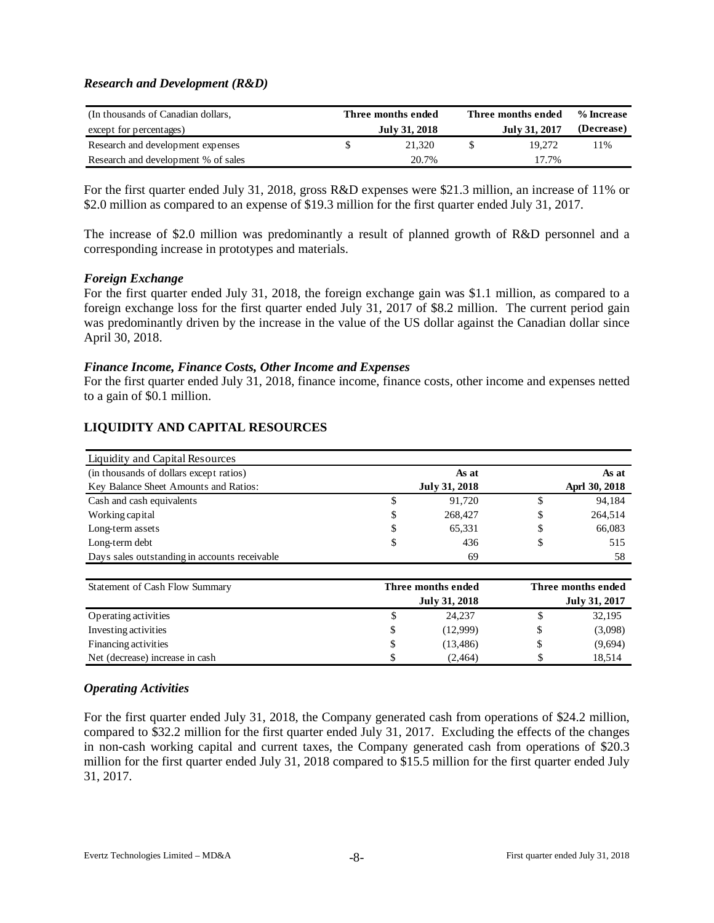# *Research and Development (R&D)*

| (In thousands of Canadian dollars,  |  | Three months ended | Three months ended | % Increase |
|-------------------------------------|--|--------------------|--------------------|------------|
| except for percentages)             |  | July 31, 2018      | July 31, 2017      | (Decrease) |
| Research and development expenses   |  | 21.320             | 19.272             | 11%        |
| Research and development % of sales |  | 20.7%              | 17.7%              |            |

For the first quarter ended July 31, 2018, gross R&D expenses were \$21.3 million, an increase of 11% or \$2.0 million as compared to an expense of \$19.3 million for the first quarter ended July 31, 2017.

The increase of \$2.0 million was predominantly a result of planned growth of R&D personnel and a corresponding increase in prototypes and materials.

#### *Foreign Exchange*

For the first quarter ended July 31, 2018, the foreign exchange gain was \$1.1 million, as compared to a foreign exchange loss for the first quarter ended July 31, 2017 of \$8.2 million. The current period gain was predominantly driven by the increase in the value of the US dollar against the Canadian dollar since April 30, 2018.

# *Finance Income, Finance Costs, Other Income and Expenses*

For the first quarter ended July 31, 2018, finance income, finance costs, other income and expenses netted to a gain of \$0.1 million.

| Liquidity and Capital Resources               |    |                      |               |
|-----------------------------------------------|----|----------------------|---------------|
| (in thousands of dollars except ratios)       |    | As at                | As at         |
| Key Balance Sheet Amounts and Ratios:         |    | <b>July 31, 2018</b> | Aprl 30, 2018 |
| Cash and cash equivalents                     | S  | 91.720               | \$<br>94,184  |
| Working capital                               | \$ | 268,427              | \$<br>264,514 |
| Long-term assets                              | \$ | 65,331               | \$<br>66,083  |
| Long-term debt                                | \$ | 436                  | \$<br>515     |
| Days sales outstanding in accounts receivable |    | 69                   | 58            |

# **LIQUIDITY AND CAPITAL RESOURCES**

| Statement of Cash Flow Summary  |    | Three months ended | Three months ended |               |  |  |  |  |  |
|---------------------------------|----|--------------------|--------------------|---------------|--|--|--|--|--|
|                                 |    | July 31, 2018      |                    | July 31, 2017 |  |  |  |  |  |
| Operating activities            |    | 24.237             |                    | 32,195        |  |  |  |  |  |
| Investing activities            | S. | (12.999)           |                    | (3,098)       |  |  |  |  |  |
| Financing activities            | S. | (13, 486)          |                    | (9,694)       |  |  |  |  |  |
| Net (decrease) increase in cash |    | (2, 464)           |                    | 18,514        |  |  |  |  |  |

# *Operating Activities*

For the first quarter ended July 31, 2018, the Company generated cash from operations of \$24.2 million, compared to \$32.2 million for the first quarter ended July 31, 2017. Excluding the effects of the changes in non-cash working capital and current taxes, the Company generated cash from operations of \$20.3 million for the first quarter ended July 31, 2018 compared to \$15.5 million for the first quarter ended July 31, 2017.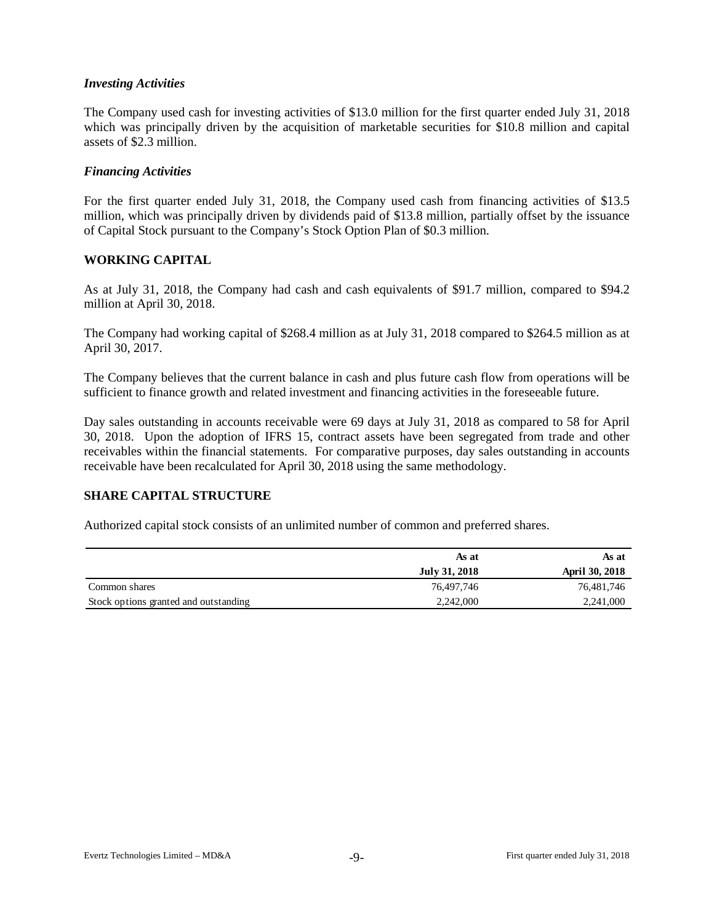# *Investing Activities*

The Company used cash for investing activities of \$13.0 million for the first quarter ended July 31, 2018 which was principally driven by the acquisition of marketable securities for \$10.8 million and capital assets of \$2.3 million.

#### *Financing Activities*

For the first quarter ended July 31, 2018, the Company used cash from financing activities of \$13.5 million, which was principally driven by dividends paid of \$13.8 million, partially offset by the issuance of Capital Stock pursuant to the Company's Stock Option Plan of \$0.3 million.

# **WORKING CAPITAL**

As at July 31, 2018, the Company had cash and cash equivalents of \$91.7 million, compared to \$94.2 million at April 30, 2018.

The Company had working capital of \$268.4 million as at July 31, 2018 compared to \$264.5 million as at April 30, 2017.

The Company believes that the current balance in cash and plus future cash flow from operations will be sufficient to finance growth and related investment and financing activities in the foreseeable future.

Day sales outstanding in accounts receivable were 69 days at July 31, 2018 as compared to 58 for April 30, 2018. Upon the adoption of IFRS 15, contract assets have been segregated from trade and other receivables within the financial statements. For comparative purposes, day sales outstanding in accounts receivable have been recalculated for April 30, 2018 using the same methodology.

# **SHARE CAPITAL STRUCTURE**

Authorized capital stock consists of an unlimited number of common and preferred shares.

|                                       | As at         | As at                 |
|---------------------------------------|---------------|-----------------------|
|                                       | July 31, 2018 | <b>April 30, 2018</b> |
| Common shares                         | 76,497,746    | 76,481,746            |
| Stock options granted and outstanding | 2,242,000     | 2,241,000             |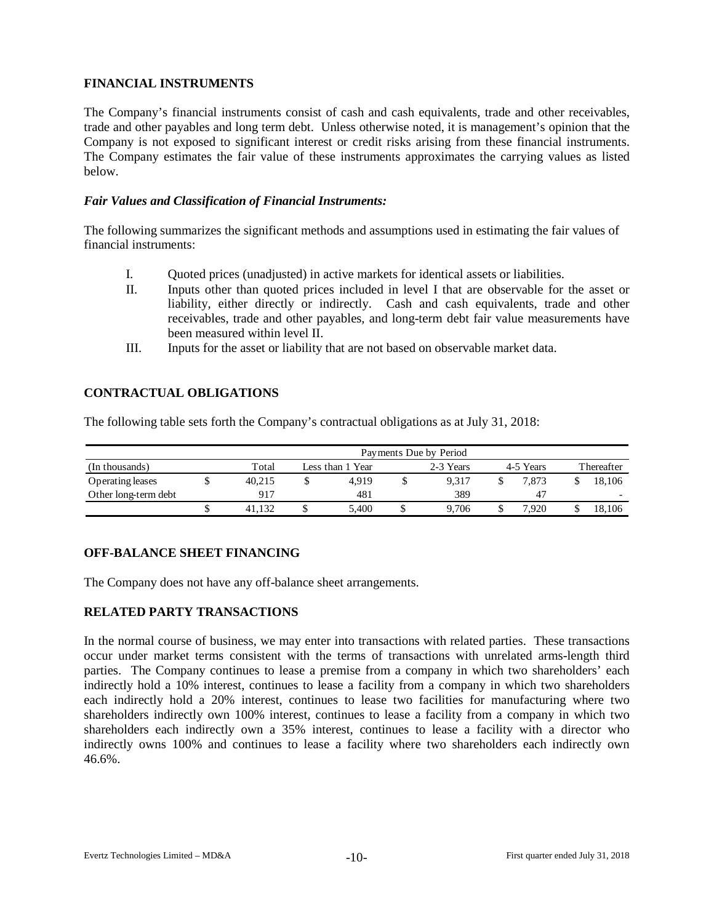# **FINANCIAL INSTRUMENTS**

The Company's financial instruments consist of cash and cash equivalents, trade and other receivables, trade and other payables and long term debt. Unless otherwise noted, it is management's opinion that the Company is not exposed to significant interest or credit risks arising from these financial instruments. The Company estimates the fair value of these instruments approximates the carrying values as listed below.

# *Fair Values and Classification of Financial Instruments:*

The following summarizes the significant methods and assumptions used in estimating the fair values of financial instruments:

- I. Quoted prices (unadjusted) in active markets for identical assets or liabilities.
- II. Inputs other than quoted prices included in level I that are observable for the asset or liability, either directly or indirectly. Cash and cash equivalents, trade and other receivables, trade and other payables, and long-term debt fair value measurements have been measured within level II.
- III. Inputs for the asset or liability that are not based on observable market data.

# **CONTRACTUAL OBLIGATIONS**

The following table sets forth the Company's contractual obligations as at July 31, 2018:

|                      | Payments Due by Period |                  |       |           |       |           |       |            |        |  |  |  |  |
|----------------------|------------------------|------------------|-------|-----------|-------|-----------|-------|------------|--------|--|--|--|--|
| (In thousands)       | Total                  | Less than 1 Year |       | 2-3 Years |       | 4-5 Years |       | Thereafter |        |  |  |  |  |
| Operating leases     | 40.215                 |                  | 4.919 |           | 9.317 |           | 7.873 |            | 18.106 |  |  |  |  |
| Other long-term debt | 917                    |                  | 481   |           | 389   |           | 47    |            |        |  |  |  |  |
|                      |                        | ◡                | 5,400 |           | 9.706 |           | '.920 |            | 18.106 |  |  |  |  |

# **OFF-BALANCE SHEET FINANCING**

The Company does not have any off-balance sheet arrangements.

# **RELATED PARTY TRANSACTIONS**

In the normal course of business, we may enter into transactions with related parties. These transactions occur under market terms consistent with the terms of transactions with unrelated arms-length third parties. The Company continues to lease a premise from a company in which two shareholders' each indirectly hold a 10% interest, continues to lease a facility from a company in which two shareholders each indirectly hold a 20% interest, continues to lease two facilities for manufacturing where two shareholders indirectly own 100% interest, continues to lease a facility from a company in which two shareholders each indirectly own a 35% interest, continues to lease a facility with a director who indirectly owns 100% and continues to lease a facility where two shareholders each indirectly own 46.6%.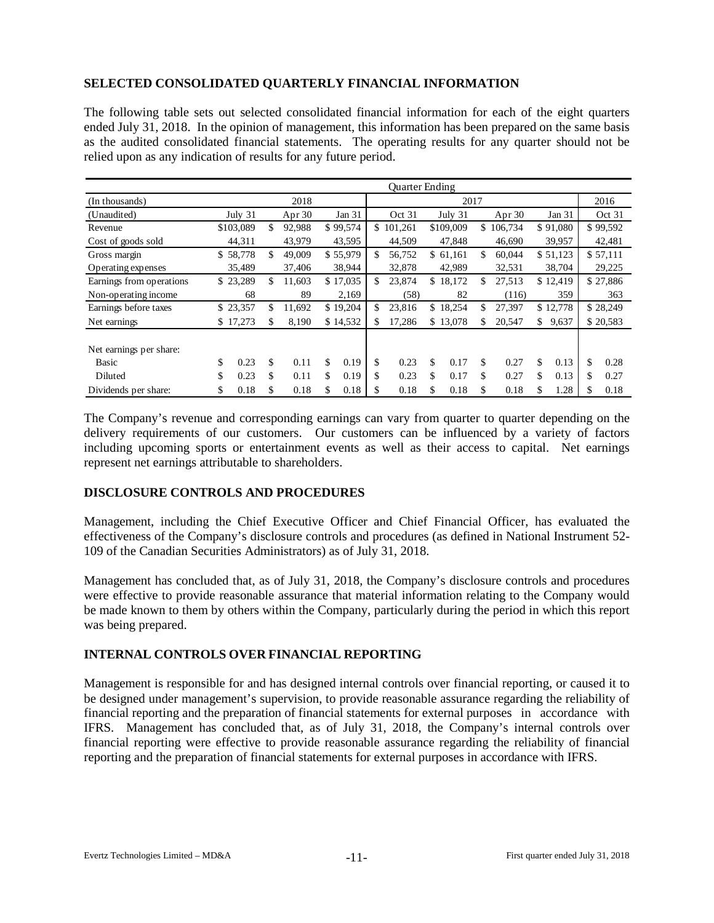# **SELECTED CONSOLIDATED QUARTERLY FINANCIAL INFORMATION**

The following table sets out selected consolidated financial information for each of the eight quarters ended July 31, 2018. In the opinion of management, this information has been prepared on the same basis as the audited consolidated financial statements. The operating results for any quarter should not be relied upon as any indication of results for any future period.

|                          | <b>Ouarter Ending</b> |           |    |          |     |          |              |                     |    |           |               |         |        |          |        |          |
|--------------------------|-----------------------|-----------|----|----------|-----|----------|--------------|---------------------|----|-----------|---------------|---------|--------|----------|--------|----------|
| (In thousands)           |                       |           |    | 2018     |     |          |              | 2017                |    |           |               |         |        |          |        | 2016     |
| (Unaudited)              |                       | July 31   |    | Apr $30$ |     | Jan 31   |              | Oct 31<br>July $31$ |    |           | Apr $30$      |         | Jan 31 |          | Oct 31 |          |
| Revenue                  |                       | \$103,089 | \$ | 92,988   |     | \$99,574 | $\mathbb{S}$ | 101,261             |    | \$109,009 | <sup>\$</sup> | 106,734 |        | \$91,080 |        | \$99,592 |
| Cost of goods sold       |                       | 44,311    |    | 43,979   |     | 43,595   |              | 44,509              |    | 47,848    |               | 46,690  |        | 39,957   |        | 42,481   |
| Gross margin             |                       | \$58,778  | \$ | 49,009   |     | \$55,979 | \$           | 56,752              |    | \$61,161  | \$            | 60,044  |        | \$51,123 |        | \$57,111 |
| Operating expenses       |                       | 35,489    |    | 37,406   |     | 38,944   |              | 32,878              |    | 42.989    |               | 32,531  |        | 38,704   |        | 29,225   |
| Earnings from operations |                       | \$23,289  | \$ | 11,603   |     | \$17,035 | \$           | 23,874              |    | \$18,172  | S             | 27,513  |        | \$12,419 |        | \$27,886 |
| Non-operating income     |                       | 68        |    | 89       |     | 2,169    |              | (58)                |    | 82        |               | (116)   |        | 359      |        | 363      |
| Earnings before taxes    |                       | \$23,357  | \$ | 11,692   |     | \$19,204 | \$           | 23,816              |    | \$18,254  | \$            | 27,397  |        | \$12,778 |        | \$28,249 |
| Net earnings             |                       | \$17,273  | \$ | 8,190    |     | \$14,532 | \$           | 17,286              |    | \$13,078  | \$            | 20,547  | \$     | 9,637    |        | \$20,583 |
| Net earnings per share:  |                       |           |    |          |     |          |              |                     |    |           |               |         |        |          |        |          |
| Basic                    | \$                    | 0.23      | \$ | 0.11     | \$. | 0.19     | \$           | 0.23                | \$ | 0.17      | \$            | 0.27    | \$     | 0.13     | \$     | 0.28     |
| Diluted                  | \$                    | 0.23      | \$ | 0.11     | \$  | 0.19     | \$           | 0.23                | \$ | 0.17      | \$            | 0.27    | \$     | 0.13     | \$     | 0.27     |
| Dividends per share:     | \$                    | 0.18      | S  | 0.18     | \$  | 0.18     | S            | 0.18                | S  | 0.18      | S             | 0.18    | \$     | 1.28     | S      | 0.18     |

The Company's revenue and corresponding earnings can vary from quarter to quarter depending on the delivery requirements of our customers. Our customers can be influenced by a variety of factors including upcoming sports or entertainment events as well as their access to capital. Net earnings represent net earnings attributable to shareholders.

# **DISCLOSURE CONTROLS AND PROCEDURES**

Management, including the Chief Executive Officer and Chief Financial Officer, has evaluated the effectiveness of the Company's disclosure controls and procedures (as defined in National Instrument 52- 109 of the Canadian Securities Administrators) as of July 31, 2018.

Management has concluded that, as of July 31, 2018, the Company's disclosure controls and procedures were effective to provide reasonable assurance that material information relating to the Company would be made known to them by others within the Company, particularly during the period in which this report was being prepared.

# **INTERNAL CONTROLS OVER FINANCIAL REPORTING**

Management is responsible for and has designed internal controls over financial reporting, or caused it to be designed under management's supervision, to provide reasonable assurance regarding the reliability of financial reporting and the preparation of financial statements for external purposes in accordance with IFRS. Management has concluded that, as of July 31, 2018, the Company's internal controls over financial reporting were effective to provide reasonable assurance regarding the reliability of financial reporting and the preparation of financial statements for external purposes in accordance with IFRS.